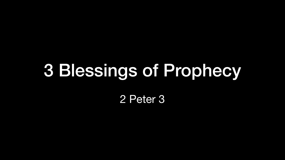# 3 Blessings of Prophecy

2 Peter 3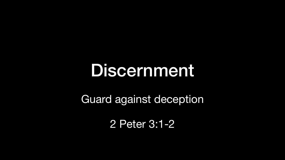### Discernment

Guard against deception

2 Peter 3:1-2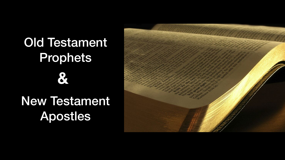#### Old Testament Prophets **&**

#### New Testament Apostles

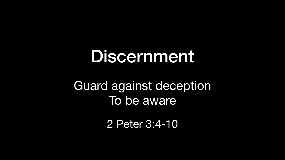# Discernment Guard against deception To be aware

- 
- 2 Peter 3:4-10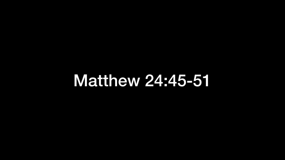#### Matthew 24:45-51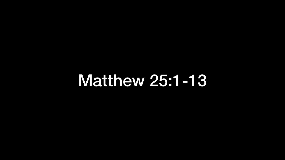### Matthew 25:1-13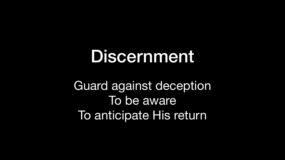### Discernment Guard against deception To be aware To anticipate His return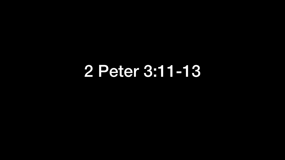#### 2 Peter 3:11-13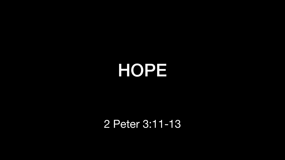### HOPE



#### 2 Peter 3:11-13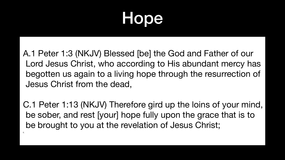### Hope

A.1 Peter 1:3 (NKJV) Blessed [be] the God and Father of our Lord Jesus Christ, who according to His abundant mercy has begotten us again to a living hope through the resurrection of Jesus Christ from the dead,

C.1 Peter 1:13 (NKJV) Therefore gird up the loins of your mind, be sober, and rest [your] hope fully upon the grace that is to be brought to you at the revelation of Jesus Christ;

E.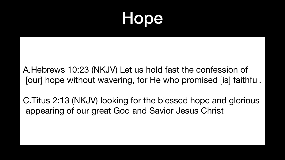- A.Hebrews 10:23 (NKJV) Let us hold fast the confession of [our] hope without wavering, for He who promised [is] faithful.
- C.Titus 2:13 (NKJV) looking for the blessed hope and glorious

appearing of our great God and Savior Jesus Christ D.

#### Hope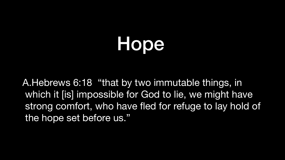A.Hebrews 6:18 "that by two immutable things, in the hope set before us."

### Hope

#### which it [is] impossible for God to lie, we might have strong comfort, who have fled for refuge to lay hold of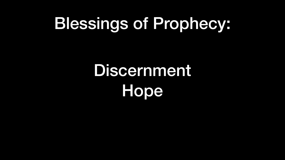## Discernment Hope

# Blessings of Prophecy: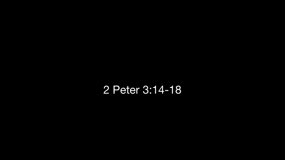#### 2 Peter 3:14-18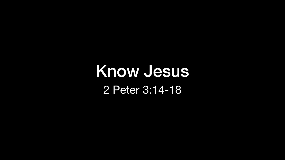#### Know Jesus 2 Peter 3:14-18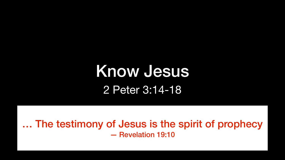#### Know Jesus 2 Peter 3:14-18

… The testimony of Jesus is the spirit of prophecy — Revelation 19:10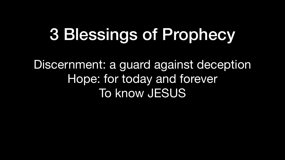## 3 Blessings of Prophecy

Discernment: a guard against deception Hope: for today and forever To know JESUS